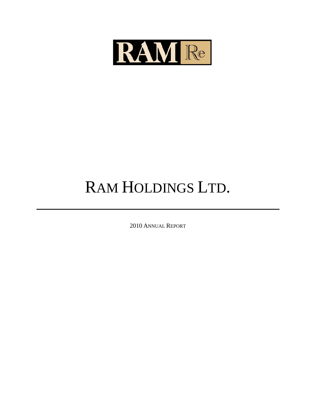

# RAM HOLDINGS LTD.

2010 ANNUAL REPORT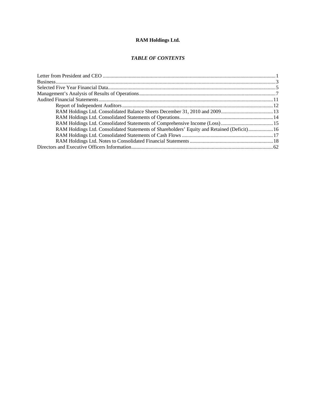# **RAM Holdings Ltd.**

# *TABLE OF CONTENTS*

| RAM Holdings Ltd. Consolidated Statements of Shareholders' Equity and Retained (Deficit) 16 |
|---------------------------------------------------------------------------------------------|
|                                                                                             |
|                                                                                             |
|                                                                                             |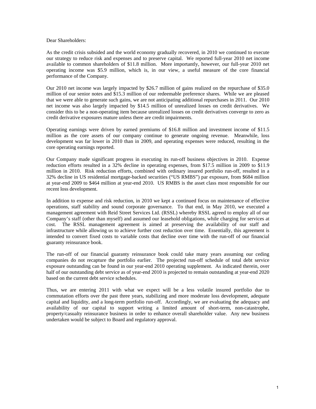Dear Shareholders:

As the credit crisis subsided and the world economy gradually recovered, in 2010 we continued to execute our strategy to reduce risk and expenses and to preserve capital. We reported full-year 2010 net income available to common shareholders of \$11.8 million. More importantly, however, our full-year 2010 net operating income was \$5.9 million, which is, in our view, a useful measure of the core financial performance of the Company.

Our 2010 net income was largely impacted by \$26.7 million of gains realized on the repurchase of \$35.0 million of our senior notes and \$15.3 million of our redeemable preference shares. While we are pleased that we were able to generate such gains, we are not anticipating additional repurchases in 2011. Our 2010 net income was also largely impacted by \$14.5 million of unrealized losses on credit derivatives. We consider this to be a non-operating item because unrealized losses on credit derivatives converge to zero as credit derivative exposures mature unless there are credit impairments.

Operating earnings were driven by earned premiums of \$16.8 million and investment income of \$11.5 million as the core assets of our company continue to generate ongoing revenue. Meanwhile, loss development was far lower in 2010 than in 2009, and operating expenses were reduced, resulting in the core operating earnings reported.

Our Company made significant progress in executing its run-off business objectives in 2010. Expense reduction efforts resulted in a 32% decline in operating expenses, from \$17.5 million in 2009 to \$11.9 million in 2010. Risk reduction efforts, combined with ordinary insured portfolio run-off, resulted in a 32% decline in US residential mortgage-backed securities ("US RMBS") par exposure, from \$684 million at year-end 2009 to \$464 million at year-end 2010. US RMBS is the asset class most responsible for our recent loss development.

In addition to expense and risk reduction, in 2010 we kept a continued focus on maintenance of effective operations, staff stability and sound corporate governance. To that end, in May 2010, we executed a management agreement with Reid Street Services Ltd. (RSSL) whereby RSSL agreed to employ all of our Company's staff (other than myself) and assumed our leasehold obligations, while charging for services at cost. The RSSL management agreement is aimed at preserving the availability of our staff and infrastructure while allowing us to achieve further cost reduction over time. Essentially, this agreement is intended to convert fixed costs to variable costs that decline over time with the run-off of our financial guaranty reinsurance book.

The run-off of our financial guaranty reinsurance book could take many years assuming our ceding companies do not recapture the portfolio earlier. The projected run-off schedule of total debt service exposure outstanding can be found in our year-end 2010 operating supplement. As indicated therein, over half of our outstanding debt service as of year-end 2010 is projected to remain outstanding at year-end 2020 based on the current debt service schedules.

Thus, we are entering 2011 with what we expect will be a less volatile insured portfolio due to commutation efforts over the past three years, stabilizing and more moderate loss development, adequate capital and liquidity, and a long-term portfolio run-off. Accordingly, we are evaluating the adequacy and availability of our capital to support writing a limited amount of short-term, non-catastrophe, property/casualty reinsurance business in order to enhance overall shareholder value. Any new business undertaken would be subject to Board and regulatory approval.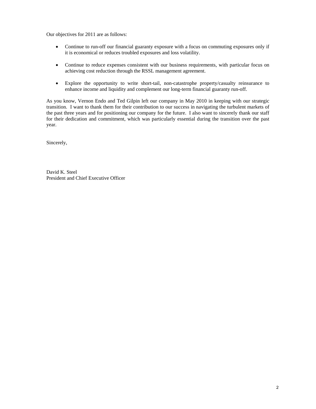Our objectives for 2011 are as follows:

- Continue to run-off our financial guaranty exposure with a focus on commuting exposures only if it is economical or reduces troubled exposures and loss volatility.
- Continue to reduce expenses consistent with our business requirements, with particular focus on achieving cost reduction through the RSSL management agreement.
- Explore the opportunity to write short-tail, non-catastrophe property/casualty reinsurance to enhance income and liquidity and complement our long-term financial guaranty run-off.

As you know, Vernon Endo and Ted Gilpin left our company in May 2010 in keeping with our strategic transition. I want to thank them for their contribution to our success in navigating the turbulent markets of the past three years and for positioning our company for the future. I also want to sincerely thank our staff for their dedication and commitment, which was particularly essential during the transition over the past year.

Sincerely,

David K. Steel President and Chief Executive Officer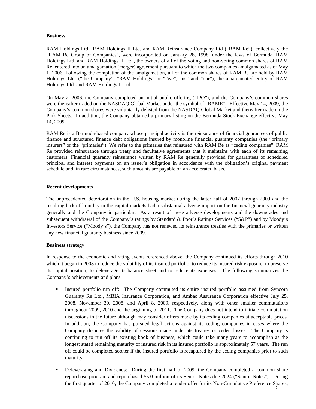#### **Business**

RAM Holdings Ltd., RAM Holdings II Ltd. and RAM Reinsurance Company Ltd ("RAM Re"), collectively the "RAM Re Group of Companies", were incorporated on January 28, 1998, under the laws of Bermuda. RAM Holdings Ltd. and RAM Holdings II Ltd., the owners of all of the voting and non-voting common shares of RAM Re, entered into an amalgamation (merger) agreement pursuant to which the two companies amalgamated as of May 1, 2006. Following the completion of the amalgamation, all of the common shares of RAM Re are held by RAM Holdings Ltd. ("the Company", "RAM Holdings" or ""we", "us" and "our"), the amalgamated entity of RAM Holdings Ltd. and RAM Holdings II Ltd.

On May 2, 2006, the Company completed an initial public offering ("IPO"), and the Company's common shares were thereafter traded on the NASDAQ Global Market under the symbol of "RAMR". Effective May 14, 2009, the Company's common shares were voluntarily delisted from the NASDAQ Global Market and thereafter trade on the Pink Sheets. In addition, the Company obtained a primary listing on the Bermuda Stock Exchange effective May 14, 2009.

RAM Re is a Bermuda-based company whose principal activity is the reinsurance of financial guarantees of public finance and structured finance debt obligations insured by monoline financial guaranty companies (the "primary insurers" or the "primaries"). We refer to the primaries that reinsured with RAM Re as "ceding companies". RAM Re provided reinsurance through treaty and facultative agreements that it maintains with each of its remaining customers. Financial guaranty reinsurance written by RAM Re generally provided for guarantees of scheduled principal and interest payments on an issuer's obligation in accordance with the obligation's original payment schedule and, in rare circumstances, such amounts are payable on an accelerated basis.

#### **Recent developments**

The unprecedented deterioration in the U.S. housing market during the latter half of 2007 through 2009 and the resulting lack of liquidity in the capital markets had a substantial adverse impact on the financial guaranty industry generally and the Company in particular. As a result of these adverse developments and the downgrades and subsequent withdrawal of the Company's ratings by Standard & Poor's Ratings Services ("S&P") and by Moody's Investors Service ("Moody's"), the Company has not renewed its reinsurance treaties with the primaries or written any new financial guaranty business since 2009.

#### **Business strategy**

In response to the economic and rating events referenced above, the Company continued its efforts through 2010 which it began in 2008 to reduce the volatility of its insured portfolio, to reduce its insured risk exposure, to preserve its capital position, to deleverage its balance sheet and to reduce its expenses. The following summarizes the Company's achievements and plans

- Insured portfolio run off: The Company commuted its entire insured portfolio assumed from Syncora Guaranty Re Ltd., MBIA Insurance Corporation, and Ambac Assurance Corporation effective July 25, 2008, November 30, 2008, and April 8, 2009, respectively, along with other smaller commutations throughout 2009, 2010 and the beginning of 2011. The Company does not intend to initiate commutation discussions in the future although may consider offers made by its ceding companies at acceptable prices. In addition, the Company has pursued legal actions against its ceding companies in cases where the Company disputes the validity of cessions made under its treaties or ceded losses. The Company is continuing to run off its existing book of business, which could take many years to accomplish as the longest stated remaining maturity of insured risk in its insured portfolio is approximately 57 years. The run off could be completed sooner if the insured portfolio is recaptured by the ceding companies prior to such maturity.
- Deleveraging and Dividends: During the first half of 2009, the Company completed a common share repurchase program and repurchased \$5.0 million of its Senior Notes due 2024 ("Senior Notes"). During the first quarter of 2010, the Company completed a tender offer for its Non-Cumulative Preference Shares, 3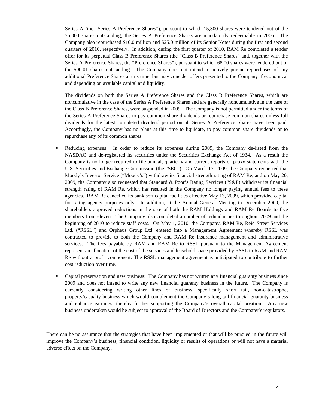Series A (the "Series A Preference Shares"), pursuant to which 15,300 shares were tendered out of the 75,000 shares outstanding; the Series A Preference Shares are mandatorily redeemable in 2066. The Company also repurchased \$10.0 million and \$25.0 million of its Senior Notes during the first and second quarters of 2010, respectively. In addition, during the first quarter of 2010, RAM Re completed a tender offer for its perpetual Class B Preference Shares (the "Class B Preference Shares" and, together with the Series A Preference Shares, the "Preference Shares"), pursuant to which 68.00 shares were tendered out of the 500.01 shares outstanding. The Company does not intend to actively pursue repurchases of any additional Preference Shares at this time, but may consider offers presented to the Company if economical and depending on available capital and liquidity.

The dividends on both the Series A Preference Shares and the Class B Preference Shares, which are noncumulative in the case of the Series A Preference Shares and are generally noncumulative in the case of the Class B Preference Shares, were suspended in 2009. The Company is not permitted under the terms of the Series A Preference Shares to pay common share dividends or repurchase common shares unless full dividends for the latest completed dividend period on all Series A Preference Shares have been paid. Accordingly, the Company has no plans at this time to liquidate, to pay common share dividends or to repurchase any of its common shares.

- Reducing expenses: In order to reduce its expenses during 2009, the Company de-listed from the NASDAQ and de-registered its securities under the Securities Exchange Act of 1934. As a result the Company is no longer required to file annual, quarterly and current reports or proxy statements with the U.S. Securities and Exchange Commission (the "SEC"). On March 17, 2009, the Company requested that Moody's Investor Service ("Moody's") withdraw its financial strength rating of RAM Re, and on May 20, 2009, the Company also requested that Standard & Poor's Rating Services ("S&P) withdraw its financial strength rating of RAM Re, which has resulted in the Company no longer paying annual fees to these agencies. RAM Re cancelled its bank soft capital facilities effective May 13, 2009, which provided capital for rating agency purposes only. In addition, at the Annual General Meeting in December 2009, the shareholders approved reductions in the size of both the RAM Holdings and RAM Re Boards to five members from eleven. The Company also completed a number of redundancies throughout 2009 and the beginning of 2010 to reduce staff costs. On May 1, 2010, the Company, RAM Re, Reid Street Services Ltd. ("RSSL") and Orpheus Group Ltd. entered into a Management Agreement whereby RSSL was contracted to provide to both the Company and RAM Re insurance management and administrative services. The fees payable by RAM and RAM Re to RSSL pursuant to the Management Agreement represent an allocation of the cost of the services and leasehold space provided by RSSL to RAM and RAM Re without a profit component. The RSSL management agreement is anticipated to contribute to further cost reduction over time.
- Capital preservation and new business: The Company has not written any financial guaranty business since 2009 and does not intend to write any new financial guaranty business in the future. The Company is currently considering writing other lines of business, specifically short tail, non-catastrophe, property/casualty business which would complement the Company's long tail financial guaranty business and enhance earnings, thereby further supporting the Company's overall capital position. Any new business undertaken would be subject to approval of the Board of Directors and the Company's regulators.

There can be no assurance that the strategies that have been implemented or that will be pursued in the future will improve the Company's business, financial condition, liquidity or results of operations or will not have a material adverse effect on the Company.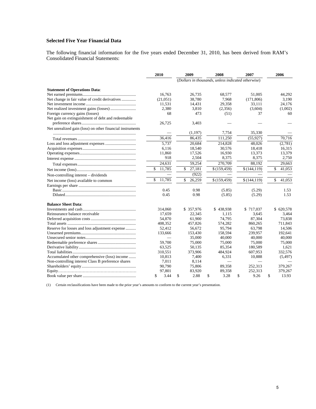### **Selected Five Year Financial Data**

The following financial information for the five years ended December 31, 2010, has been derived from RAM's Consolidated Financial Statements:

|                                                           | 2010 |          |    | 2009         |    | 2008                                               |    | 2007         | 2006 |              |
|-----------------------------------------------------------|------|----------|----|--------------|----|----------------------------------------------------|----|--------------|------|--------------|
|                                                           |      |          |    |              |    | (Dollars in thousands, unless indicated otherwise) |    |              |      |              |
| <b>Statement of Operations Data:</b>                      |      |          |    |              |    |                                                    |    |              |      |              |
|                                                           |      | 16,763   |    | 26,735       |    | 68,577                                             |    | 51,005       |      | 44,292       |
| Net change in fair value of credit derivatives            |      | (21,051) |    | 38.780       |    | 7.968                                              |    | (171,806)    |      | 3.190        |
|                                                           |      | 11,531   |    | 14,431       |    | 29,358                                             |    | 33,111       |      | 24,176       |
|                                                           |      | 2,380    |    | 3,810        |    | (2,356)                                            |    | (3,604)      |      | (1,002)      |
| Foreign currency gains (losses)                           |      | 68       |    | 473          |    | (51)                                               |    | 37           |      | 60           |
| Net gain on extinguishment of debt and redeemable         |      |          |    |              |    |                                                    |    |              |      |              |
|                                                           |      | 26,725   |    | 3,403        |    |                                                    |    |              |      |              |
| Net unrealized gain (loss) on other financial instruments |      |          |    |              |    |                                                    |    |              |      |              |
|                                                           |      |          |    | (1,197)      |    | 7,754                                              |    | 35,330       |      |              |
|                                                           |      | 36.416   |    | 86,435       |    | 111,250                                            |    | (55, 927)    |      | 70.716       |
|                                                           |      | 5,737    |    | 20,684       |    | 214,828                                            |    | 48,026       |      | (2,781)      |
|                                                           |      | 6,116    |    | 18,540       |    | 30,576                                             |    | 18,418       |      | 16,315       |
|                                                           |      | 11,860   |    | 17,526       |    | 16,930                                             |    | 13,373       |      | 13,379       |
|                                                           |      | 918      |    | 2,504        |    | 8,375                                              |    | 8,375        |      | 2,750        |
|                                                           |      | 24,631   |    | 59,254       |    | 270,709                                            |    | 88,192       |      | 29,663       |
|                                                           | \$   | 11,785   |    | \$<br>27,181 |    | \$(159, 459)                                       |    | \$(144,119)  |      | \$<br>41,053 |
| Non-controlling interest - dividends                      |      |          |    | (922)        |    |                                                    |    |              |      |              |
| Net income (loss) available to common                     | \$   | 11.785   |    | \$<br>26,259 |    | \$(159, 459)                                       |    | \$(144, 119) |      | \$<br>41.053 |
|                                                           |      |          |    |              |    |                                                    |    |              |      |              |
|                                                           |      | 0.45     |    | 0.98         |    | (5.85)                                             |    | (5.29)       |      | 1.53         |
|                                                           |      | 0.45     |    | 0.98         |    | (5.85)                                             |    | (5.29)       |      | 1.53         |
| <b>Balance Sheet Data:</b>                                |      |          |    |              |    |                                                    |    |              |      |              |
|                                                           |      | 314,060  |    | \$ 357,976   |    | \$438,938                                          |    | \$717,037    |      | \$620,578    |
| Reinsurance balance receivable                            |      | 17,659   |    | 22,345       |    | 1,115                                              |    | 3,645        |      | 3,464        |
|                                                           |      | 54,870   |    | 61,900       |    | 74,795                                             |    | 87,304       |      | 73,838       |
|                                                           |      | 408,352  |    | 457,826      |    | 574,282                                            |    | 860,265      |      | 711,843      |
| Reserve for losses and loss adjustment expense            |      | 52,412   |    | 56,672       |    | 95,794                                             |    | 63,798       |      | 14,506       |
|                                                           |      | 133,666  |    | 153,430      |    | 158,594                                            |    | 239,957      |      | 192,641      |
|                                                           |      |          |    | 35,000       |    | 40,000                                             |    | 40,000       |      | 40,000       |
|                                                           |      | 59,700   |    | 75,000       |    | 75,000                                             |    | 75,000       |      | 75,000       |
|                                                           |      | 63,525   |    | 50,135       |    | 85,354                                             |    | 180.589      |      | 1.621        |
|                                                           |      | 310,551  |    | 373,906      |    | 484.924                                            |    | 607,953      |      | 332,576      |
| Accumulated other comprehensive (loss) income             |      | 10,813   |    | 7,400        |    | 6,331                                              |    | 10,888       |      | (5, 497)     |
| Non-controlling interest Class B preference shares        |      | 7,011    |    | 8,114        |    |                                                    |    |              |      |              |
|                                                           |      | 90,790   |    | 75,806       |    | 89,358                                             |    | 252,313      |      | 379,267      |
|                                                           |      | 97,801   |    | 83,920       |    | 89,358                                             |    | 252,313      |      | 379,267      |
|                                                           | \$   | 3.44     | \$ | 2.88         | \$ | 3.28                                               | \$ | 9.26         | \$   | 13.93        |

(1) Certain reclassifications have been made to the prior year's amounts to conform to the current year's presentation.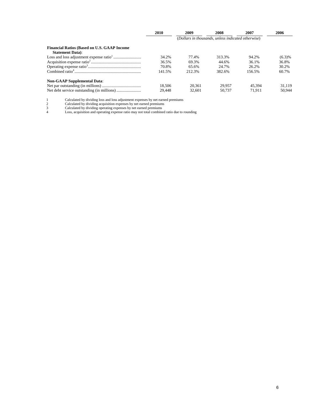|                                                                                | 2010                                               | 2009   | 2008   | 2007   | 2006   |  |  |
|--------------------------------------------------------------------------------|----------------------------------------------------|--------|--------|--------|--------|--|--|
|                                                                                | (Dollars in thousands, unless indicated otherwise) |        |        |        |        |  |  |
| <b>Financial Ratios (Based on U.S. GAAP Income</b><br><b>Statement Data</b> ): |                                                    |        |        |        |        |  |  |
|                                                                                | 34.2%                                              | 77.4%  | 313.3% | 94.2%  | (6.3)% |  |  |
|                                                                                | 36.5%                                              | 69.3%  | 44.6%  | 36.1%  | 36.8%  |  |  |
|                                                                                | 70.8%                                              | 65.6%  | 24.7%  | 26.2%  | 30.2%  |  |  |
|                                                                                | 141.5%                                             | 212.3% | 382.6% | 156.5% | 60.7%  |  |  |
| <b>Non-GAAP Supplemental Data:</b>                                             |                                                    |        |        |        |        |  |  |
|                                                                                | 18.506                                             | 20.361 | 29,957 | 45.394 | 31.119 |  |  |
|                                                                                | 29.448                                             | 32,601 | 50,737 | 71.911 | 50,944 |  |  |

1 Calculated by dividing loss and loss adjustment expenses by net earned premiums

2 Calculated by dividing acquisition expenses by net earned premiums

3 Calculated by dividing operating expenses by net earned premiums

4 Loss, acquisition and operating expense ratio may not total combined ratio due to rounding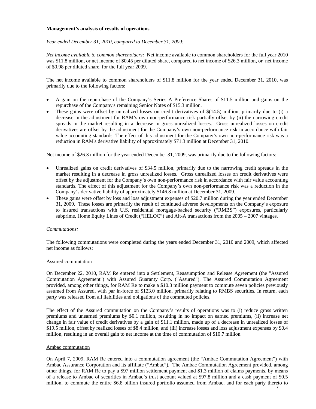#### **Management's analysis of results of operations**

#### *Year ended December 31, 2010, compared to December 31, 2009:*

*Net income available to common shareholders:* Net income available to common shareholders for the full year 2010 was \$11.8 million, or net income of \$0.45 per diluted share, compared to net income of \$26.3 million, or net income of \$0.98 per diluted share, for the full year 2009.

The net income available to common shareholders of \$11.8 million for the year ended December 31, 2010, was primarily due to the following factors:

- A gain on the repurchase of the Company's Series A Preference Shares of \$11.5 million and gains on the repurchase of the Company's remaining Senior Notes of \$15.3 million.
- These gains were offset by unrealized losses on credit derivatives of \$(14.5) million, primarily due to (i) a decrease in the adjustment for RAM's own non-performance risk partially offset by (ii) the narrowing credit spreads in the market resulting in a decrease in gross unrealized losses. Gross unrealized losses on credit derivatives are offset by the adjustment for the Company's own non-performance risk in accordance with fair value accounting standards. The effect of this adjustment for the Company's own non-performance risk was a reduction in RAM's derivative liability of approximately \$71.3 million at December 31, 2010.

Net income of \$26.3 million for the year ended December 31, 2009, was primarily due to the following factors:

- Unrealized gains on credit derivatives of \$34.5 million, primarily due to the narrowing credit spreads in the market resulting in a decrease in gross unrealized losses. Gross unrealized losses on credit derivatives were offset by the adjustment for the Company's own non-performance risk in accordance with fair value accounting standards. The effect of this adjustment for the Company's own non-performance risk was a reduction in the Company's derivative liability of approximately \$146.8 million at December 31, 2009.
- These gains were offset by loss and loss adjustment expenses of \$20.7 million during the year ended December 31, 2009. These losses are primarily the result of continued adverse developments on the Company's exposure to insured transactions with U.S. residential mortgage-backed security ("RMBS") exposures, particularly subprime, Home Equity Lines of Credit ("HELOC") and Alt-A transactions from the  $2005 - 2007$  vintages.

#### *Commutations:*

The following commutations were completed during the years ended December 31, 2010 and 2009, which affected net income as follows:

#### Assured commutation

On December 22, 2010, RAM Re entered into a Settlement, Reassumption and Release Agreement (the "Assured Commutation Agreement") with Assured Guaranty Corp. ("Assured"). The Assured Commutation Agreement provided, among other things, for RAM Re to make a \$10.3 million payment to commute seven policies previously assumed from Assured, with par in-force of \$123.0 million, primarily relating to RMBS securities. In return, each party was released from all liabilities and obligations of the commuted policies.

The effect of the Assured commutation on the Company's results of operations was to (i) reduce gross written premiums and unearned premiums by \$0.1 million, resulting in no impact on earned premiums, (ii) increase net change in fair value of credit derivatives by a gain of \$11.1 million, made up of a decrease in unrealized losses of \$19.5 million, offset by realized losses of \$8.4 million, and (iii) increase losses and loss adjustment expenses by \$0.4 million, resulting in an overall gain to net income at the time of commutation of \$10.7 million.

#### Ambac commutation

On April 7, 2009, RAM Re entered into a commutation agreement (the "Ambac Commutation Agreement") with Ambac Assurance Corporation and its affiliate ("Ambac"). The Ambac Commutation Agreement provided, among other things, for RAM Re to pay a \$97 million settlement payment and \$1.3 million of claims payments, by means of a release to Ambac of securities in Ambac's trust account valued at \$97.8 million and a cash payment of \$0.5 million, to commute the entire \$6.8 billion insured portfolio assumed from Ambac, and for each party thereto to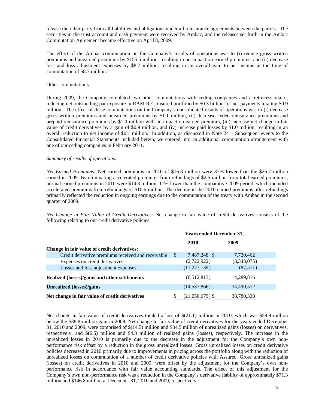release the other party from all liabilities and obligations under all reinsurance agreements between the parties. The securities in the trust account and cash payment were received by Ambac, and the releases set forth in the Ambac Commutation Agreement became effective on April 8, 2009.

The effect of the Ambac commutation on the Company's results of operations was to (i) reduce gross written premiums and unearned premiums by \$155.5 million, resulting in no impact on earned premiums, and (ii) decrease loss and loss adjustment expenses by \$8.7 million, resulting in an overall gain to net income at the time of commutation of \$8.7 million.

#### Other commutations

During 2009, the Company completed two other commutations with ceding companies and a retrocessionaire, reducing net outstanding par exposure in RAM Re's insured portfolio by \$0.3 billion for net payments totaling \$0.9 million. The effect of these commutations on the Company's consolidated results of operations was to (i) decrease gross written premiums and unearned premiums by \$1.1 million, (ii) decrease ceded reinsurance premiums and prepaid reinsurance premiums by \$1.0 million with no impact on earned premium, (iii) increase net change in fair value of credit derivatives by a gain of \$0.9 million, and (iv) increase paid losses by \$1.0 million, resulting in an overall reduction to net income of \$0.1 million. In addition, as discussed in Note 24 – Subsequent events to the Consolidated Financial Statements included herein, we entered into an additional commutation arrangement with one of our ceding companies in February 2011.

#### *Summary of results of operations:*

*Net Earned Premiums:* Net earned premiums in 2010 of \$16.8 million were 37% lower than the \$26.7 million earned in 2009. By eliminating accelerated premiums from refundings of \$2.5 million from total earned premiums, normal earned premiums in 2010 were \$14.3 million, 11% lower than the comparative 2009 period, which included accelerated premiums from refundings of \$10.6 million. The decline in the 2010 earned premiums after refundings primarily reflected the reduction in ongoing earnings due to the commutation of the treaty with Ambac in the second quarter of 2009.

*Net Change in Fair Value of Credit Derivatives:* Net change in fair value of credit derivatives consists of the following relating to our credit derivative policies:

|                                                    |   | <b>Years ended December 31,</b> |             |  |  |  |
|----------------------------------------------------|---|---------------------------------|-------------|--|--|--|
|                                                    |   | <b>2010</b>                     | 2009        |  |  |  |
| Change in fair value of credit derivatives:        |   |                                 |             |  |  |  |
| Credit derivative premiums received and receivable | S | 7,487,248 \$                    | 7,720,462   |  |  |  |
| Expenses on credit derivatives                     |   | (2,722,922)                     | (3,343,075) |  |  |  |
| Losses and loss adjustment expenses                |   | (11, 277, 139)                  | (87, 571)   |  |  |  |
| Realized (losses)/gains and other settlements      |   | (6,512,813)                     | 4,289,816   |  |  |  |
| <b>Unrealized (losses)/gains</b>                   |   | (14, 537, 866)                  | 34,490,512  |  |  |  |
| Net change in fair value of credit derivatives     |   | $(21,050,679)$ \$               | 38,780,328  |  |  |  |

Net change in fair value of credit derivatives totaled a loss of \$(21.1) million in 2010, which was \$59.9 million below the \$38.8 million gain in 2009. Net change in fair value of credit derivatives for the years ended December 31, 2010 and 2009, were comprised of \$(14.5) million and \$34.5 million of unrealized gains (losses) on derivatives, respectively, and \$(6.5) million and \$4.3 million of realized gains (losses), respectively. The increase in the unrealized losses in 2010 is primarily due to the decrease in the adjustment for the Company's own nonperformance risk offset by a reduction in the gross unrealized losses. Gross unrealized losses on credit derivative policies decreased in 2010 primarily due to improvements in pricing across the portfolio along with the reduction of unrealized losses on commutation of a number of credit derivative policies with Assured. Gross unrealized gains (losses) on credit derivatives in 2010 and 2009, were offset by the adjustment for the Company's own nonperformance risk in accordance with fair value accounting standards. The effect of this adjustment for the Company's own non-performance risk was a reduction in the Company's derivative liability of approximately \$71.3 million and \$146.8 million at December 31, 2010 and 2009, respectively.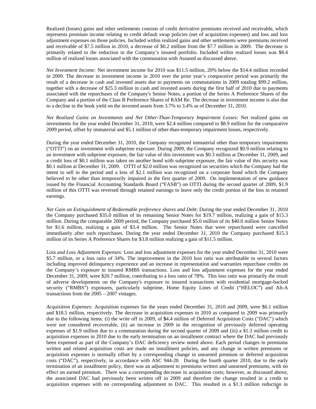Realized (losses) gains and other settlements consists of credit derivative premiums received and receivable, which represents premium income relating to credit default swap policies (net of acquisition expenses) and loss and loss adjustment expenses on those policies. Included within realized gains and other settlements were premiums received and receivable of \$7.5 million in 2010, a decrease of \$0.2 million from the \$7.7 million in 2009. The decrease is primarily related to the reduction in the Company's insured portfolio. Included within realized losses was \$8.4 million of realized losses associated with the commutation with Assured as discussed above.

*Net Investment Income:* Net investment income for 2010 was \$11.5 million, 20% below the \$14.4 million recorded in 2009. The decrease in investment income in 2010 over the prior year's comparative period was primarily the result of a decrease in cash and invested assets due to payments on commutations in 2009 totaling \$99.2 million, together with a decrease of \$25.3 million in cash and invested assets during the first half of 2010 due to payments associated with the repurchases of the Company's Senior Notes, a portion of the Series A Preference Shares of the Company and a portion of the Class B Preference Shares of RAM Re. The decrease in investment income is also due to a decline in the book yield on the invested assets from 3.7% to 3.4% as of December 31, 2010.

*Net Realized Gains on Investments and Net Other-Than-Temporary Impairment Losses:* Net realized gains on investments for the year ended December 31, 2010, were \$2.4 million compared to \$8.9 million for the comparative 2009 period, offset by immaterial and \$5.1 million of other-than-temporary impairment losses, respectively.

During the year ended December 31, 2010, the Company recognized immaterial other than temporary impairments ("OTTI") on an investment with subprime exposure. During 2009, the Company recognized \$0.9 million relating to an investment with subprime exposure, the fair value of this investment was \$0.3 million at December 31, 2009, and a credit loss of \$0.1 million was taken on another bond with subprime exposure, the fair value of this security was \$0.1 million at December 31, 2009. OTTI of \$2.0 million was recognized on securities which the Company had the intent to sell in the period and a loss of \$2.1 million was recognized on a corporate bond which the Company believed to be other than temporarily impaired in the first quarter of 2009. On implementation of new guidance issued by the Financial Accounting Standards Board ("FASB") on OTTI during the second quarter of 2009, \$1.9 million of this OTTI was reversed through retained earnings to leave only the credit portion of the loss in retained earnings.

*Net Gain on Extinguishment of Redeemable preference shares and Deb*t: During the year ended December 31, 2010 the Company purchased \$35.0 million of its remaining Senior Notes for \$19.7 million, realizing a gain of \$15.3 million. During the comparable 2009 period, the Company purchased \$5.0 million of its \$40.0 million Senior Notes for \$1.6 million, realizing a gain of \$3.4 million. The Senior Notes that were repurchased were cancelled immediately after such repurchases. During the year ended December 31, 2010 the Company purchased \$15.3 million of its Series A Preference Shares for \$3.8 million realizing a gain of \$11.5 million.

*Loss and Loss Adjustment Expenses:* Loss and loss adjustment expenses for the year ended December 31, 2010 were \$5.7 million, or a loss ratio of 34%. The improvement in the 2010 loss ratio was attributable to several factors including improved delinquency experience and an increase in representation and warranties repurchase credits on the Company's exposure to insured RMBS transactions. Loss and loss adjustment expenses for the year ended December 31, 2009, were \$20.7 million, contributing to a loss ratio of 78%. This loss ratio was primarily the result of adverse developments on the Company's exposure to insured transactions with residential mortgage-backed security ("RMBS") exposures, particularly subprime, Home Equity Lines of Credit ("HELOC") and Alt-A transactions from the 2005 – 2007 vintages.

*Acquisition Expenses:* Acquisition expenses for the years ended December 31, 2010 and 2009, were \$6.1 million and \$18.5 million, respectively. The decrease in acquisition expenses in 2010 as compared to 2009 was primarily due to the following items: (i) the write off in 2009, of **\$**4.4 million of Deferred Acquisition Costs ("DAC") which were not considered recoverable, (ii) an increase in 2009 in the recognition of previously deferred operating expenses of \$1.9 million due to a commutation during the second quarter of 2009 and (iii) a \$1.3 million credit to acquisition expenses in 2010 due to the early termination on an installment contract where the DAC had previously been expensed as part of the Company's DAC deficiency review noted above. Each period changes in premiums written and related acquisition costs are made on installment policies, and any change in written premiums or acquisition expenses is normally offset by a corresponding change in unearned premium or deferred acquisition costs ("DAC"), respectively, in accordance with ASC 944-20. During the fourth quarter 2010, due to the early termination of an installment policy, there was an adjustment to premiums written and unearned premiums, with no effect on earned premium. There was a corresponding decrease in acquisition costs; however, as discussed above, the associated DAC had previously been written off in 2009 and therefore the change resulted in a credit to acquisition expenses with no corresponding adjustment to DAC. This resulted in a \$1.3 million reduction in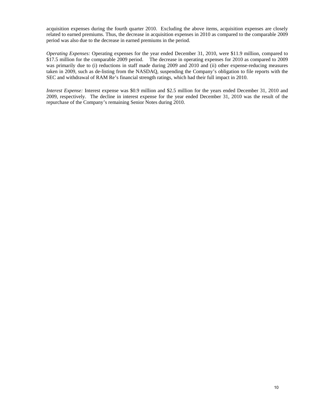acquisition expenses during the fourth quarter 2010. Excluding the above items, acquisition expenses are closely related to earned premiums. Thus, the decrease in acquisition expenses in 2010 as compared to the comparable 2009 period was also due to the decrease in earned premiums in the period.

*Operating Expenses:* Operating expenses for the year ended December 31, 2010, were \$11.9 million, compared to \$17.5 million for the comparable 2009 period. The decrease in operating expenses for 2010 as compared to 2009 was primarily due to (i) reductions in staff made during 2009 and 2010 and (ii) other expense-reducing measures taken in 2009, such as de-listing from the NASDAQ, suspending the Company's obligation to file reports with the SEC and withdrawal of RAM Re's financial strength ratings, which had their full impact in 2010.

*Interest Expense:* Interest expense was \$0.9 million and \$2.5 million for the years ended December 31, 2010 and 2009, respectively. The decline in interest expense for the year ended December 31, 2010 was the result of the repurchase of the Company's remaining Senior Notes during 2010.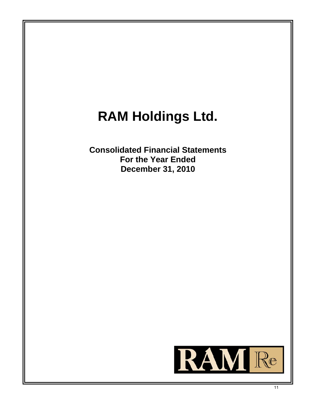# **RAM Holdings Ltd.**

**Consolidated Financial Statements For the Year Ended December 31, 2010**